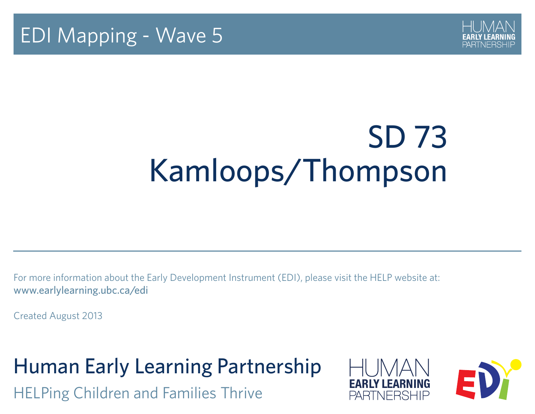

# SD 73 Kamloops/Thompson

For more information about the Early Development Instrument (EDI), please visit the HELP website at: www.earlylearning.ubc.ca/edi

Created August 2013

Human Early Learning Partnership

HELPing Children and Families Thrive



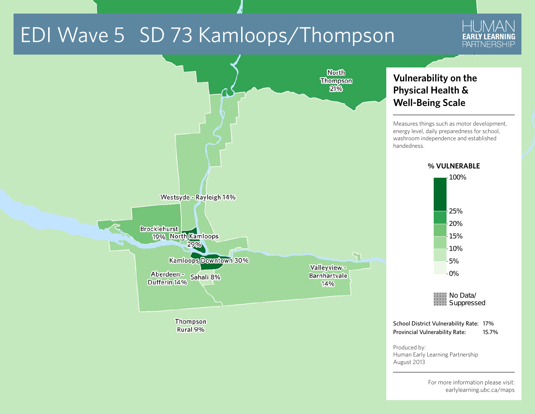

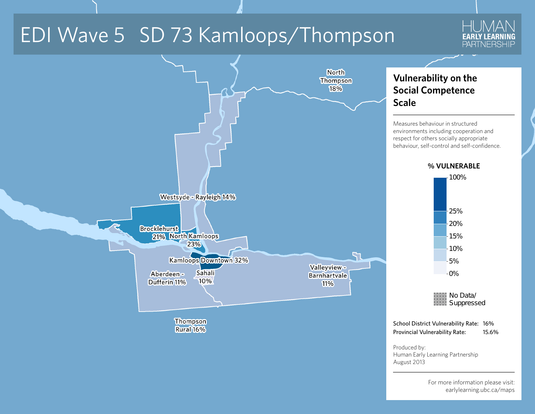



For more information please visit: earlylearning.ubc.ca/maps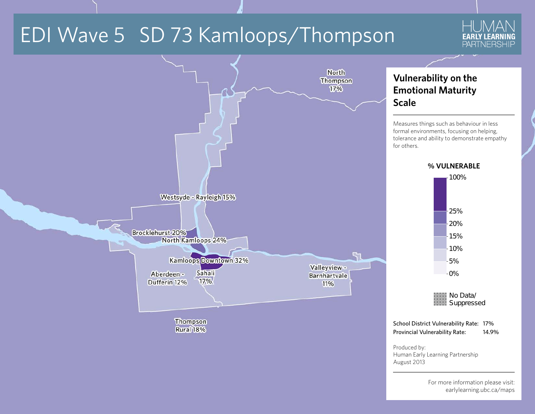

HI INAA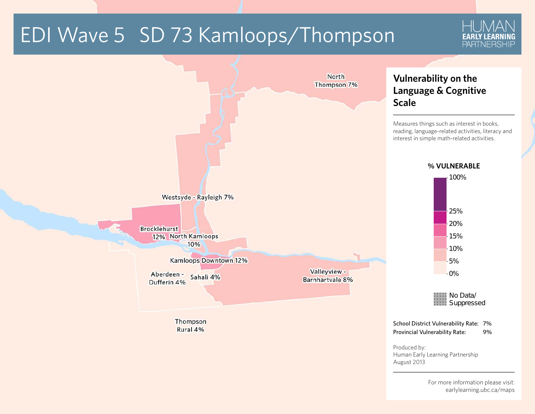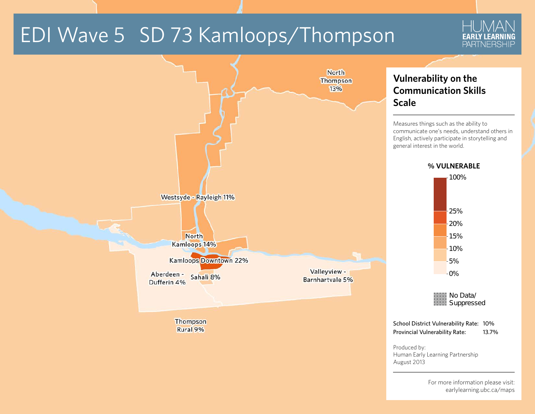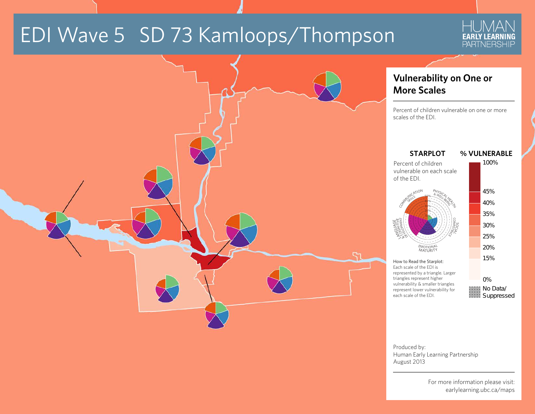

earlylearning.ubc.ca/maps

**HUMA** 

**PARTNERSHIP**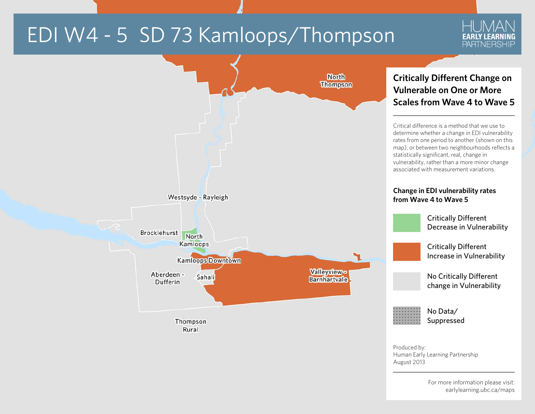#### EDI W4 - 5 SD 73 Kamloops/Thompson



For more information please visit: earlylearning.ubc.ca/maps

August 2013